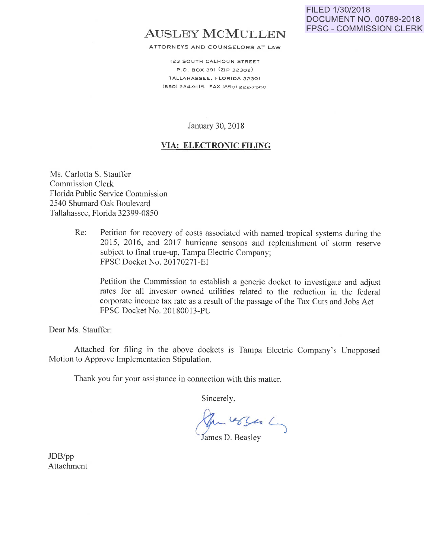# **AUSLEY MCMULLEN**

ATTORNEYS AND COUNSELORS AT LAW

123 SOUTH CALHOUN STREET P.O . BOX 391 (ZIP 32302) TALLAHASSEE. FLORIDA 32301 (850) 224-91 is FAX (850) 222-7560

January 30, 2018

#### **VIA: ELECTRONIC FILING**

Ms. Carlotta S. Stauffer Commission Clerk Florida Public Service Commission 2540 Shumard Oak Boulevard Tallahassee, Florida 32399-0850

> Re: Petition for recovery of costs associated with named tropical systems during the 2015, 2016, and 2017 hurricane seasons and replenishment of storm reserve subject to final true-up, Tampa Electric Company; FPSC Docket No. 20170271-EI

Petition the Commission to establish a generic docket to investigate and adjust rates for all investor owned utilities related to the reduction in the federal corporate income tax rate as a result of the passage of the Tax Cuts and Jobs Act FPSC Docket No. 20180013-PU

Dear Ms. Stauffer:

Attached for filing in the above dockets is Tampa Electric Company's Unopposed Motion to Approve Implementation Stipulation.

Thank you for your assistance in connection with this matter.

Sincerely,

Jun 6500 L

James D. Beasley

JDB/pp Attachment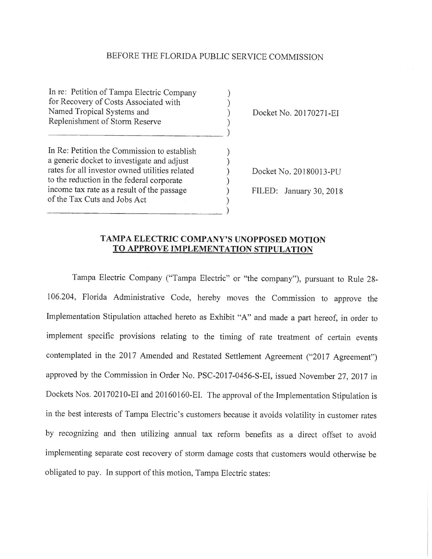#### BEFORE THE FLORIDA PUBLIC SERVICE COMMISSION

) ) ) )

 $\overline{a}$ 

) ) ) ) ) )

In re: Petition of Tampa Electric Company for Recovery of Costs Associated with Named Tropical Systems and Replenishment of Storm Reserve

------------------------------

 $\frac{1}{2}$ 

In Re: Petition the Commission to establish a generic docket to investigate and adjust rates for all investor owned utilities related to the reduction in the federal corporate income tax rate as a result of the passage of the Tax Cuts and Jobs Act

Docket No. 20170271-EI

Docket No. 20180013-PU

FILED: January 30, 2018

### TAMPA ELECTRIC COMPANY'S UNOPPOSED MOTION **TO APPROVE IMPLEMENTATION STIPULATION**

Tampa Electric Company ("Tampa Electric" or "the company"), pursuant to Rule 28- 106.204, Florida Administrative Code, hereby moves the Commission to approve the Implementation Stipulation attached hereto as Exhibit "A" and made a part hereof, in order to implement specific provisions relating to the timing of rate treatment of certain events contemplated in the 2017 Amended and Restated Settlement Agreement ("2017 Agreement") approved by the Commission in Order No. PSC-2017-0456-S-EI, issued November 27, 2017 in Dockets Nos. 20170210-EI and 20160160-EI. The approval of the Implementation Stipulation is in the best interests of Tampa Electric's customers because it avoids volatility in customer rates by recognizing and then utilizing annual tax reform benefits as a direct offset to avoid implementing separate cost recovery of storm damage costs that customers would otherwise be obligated to pay. In support of this motion, Tampa Electric states: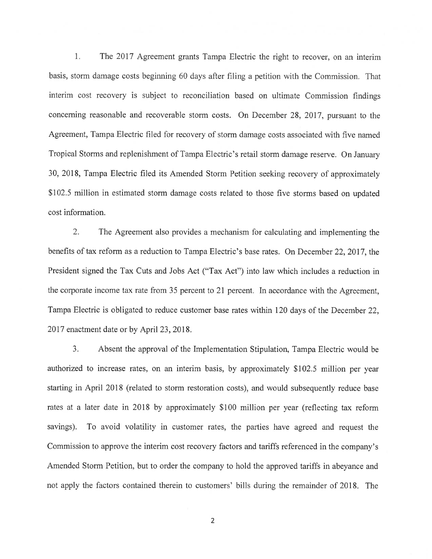1. The 2017 Agreement grants Tampa Electric the right to recover, on an interim basis, storm damage costs beginning 60 days after filing a petition with the Commission. That interim cost recovery is subject to reconciliation based on ultimate Commission findings concerning reasonable and recoverable storm costs. On December 28, 2017, pursuant to the Agreement, Tampa Electric filed for recovery of storm damage costs associated with five named Tropical Storms and replenishment of Tampa Electric's retail storm damage reserve. On January 30, 2018, Tampa Electric filed its Amended Storm Petition seeking recovery of approximately \$102.5 million in estimated storm damage costs related to those five storms based on updated cost information.

2. The Agreement also provides a mechanism for calculating and implementing the benefits of tax reform as a reduction to Tampa Electric's base rates. On December 22, 2017, the President signed the Tax Cuts and Jobs Act ("Tax Act") into law which includes a reduction in the corporate income tax rate from 35 percent to 21 percent. In accordance with the Agreement, Tampa Electric is obligated to reduce customer base rates within 120 days of the December 22, 2017 enactment date or by April 23, 2018.

3. Absent the approval of the Implementation Stipulation, Tampa Electric would be authorized to increase rates, on an interim basis, by approximately \$102.5 million per year starting in April 2018 (related to storm restoration costs), and would subsequently reduce base rates at a later date in 2018 by approximately \$100 million per year (reflecting tax reform savings). To avoid volatility in customer rates, the parties have agreed and request the Commission to approve the interim cost recovery factors and tariffs referenced in the company's Amended Storm Petition, but to order the company to hold the approved tariffs in abeyance and not apply the factors contained therein to customers' bills during the remainder of 2018. The

2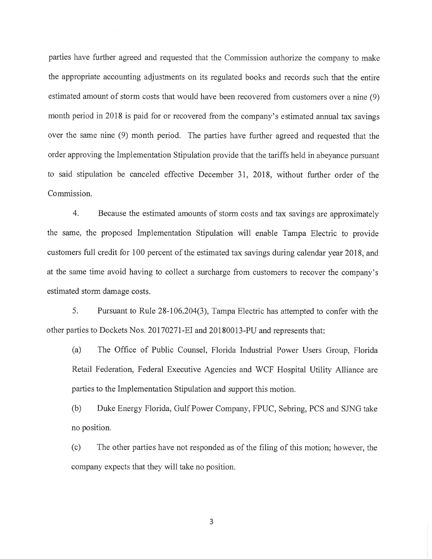parties have further agreed and requested that the Commission authorize the company to make the appropriate accounting adjustments on its regulated books and records such that the entire estimated amount of storm costs that would have been recovered from customers over a nine (9) month period in 2018 is paid for or recovered from the company's estimated annual tax savings over the same nine (9) month period. The parties have further agreed and requested that the order approving the Implementation Stipulation provide that the tariffs held in abeyance pursuant to said stipulation be canceled effective December 31, 2018, without further order of the Commission.

4. Because the estimated amounts of storm costs and tax savings are approximately the same, the proposed Implementation Stipulation will enable Tampa Electric to provide customers full credit for 100 percent of the estimated tax savings during calendar year 2018, and at the same time avoid having to collect a surcharge from customers to recover the company's estimated storm damage costs.

5. Pursuant to Rule 28-106.204(3), Tampa Electric has attempted to confer with the other parties to Dockets Nos. 20170271-EI and 20180013-PU and represents that:

(a) The Office of Public Counsel, Florida Industrial Power Users Group, Florida Retail Federation, Federal Executive Agencies and WCF Hospital Utility Alliance are parties to the Implementation Stipulation and support this motion.

(b) Duke Energy Florida, Gulf Power Company, FPUC, Sebring, PCS and SING take no position.

(c) The other parties have not responded as of the filing of this motion; however, the company expects that they will take no position.

 $\overline{3}$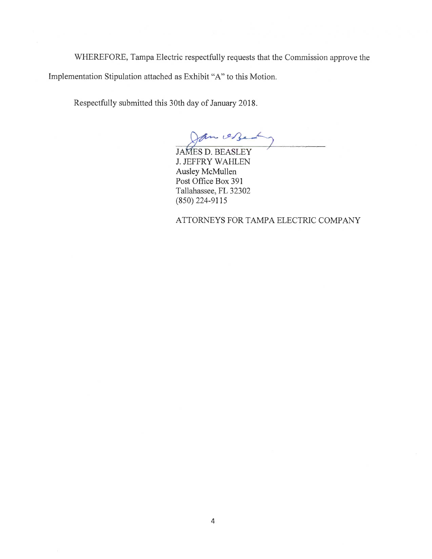WHEREFORE, Tampa Electric respectfully requests that the Commission approve the Implementation Stipulation attached as Exhibit "A" to this Motion.

Respectfully submitted this 30th day of January 2018.

an est

JAMES D. BEASLEY J. JEFFRY WAHLEN Ausley McMullen Post Office Box 391 Tallahassee, FL 32302 (850) 224-9115

ATTORNEYS FOR TAMPA ELECTRIC COMPANY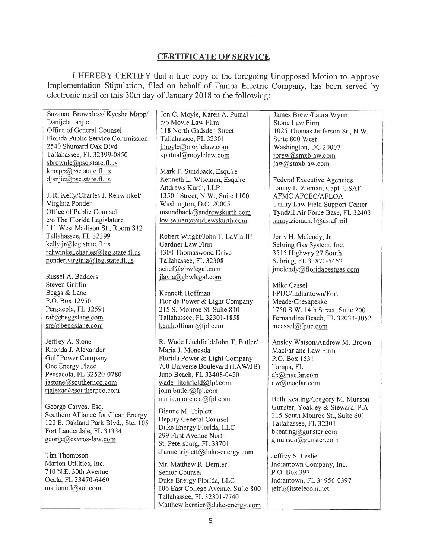## **CERTIFICATE OF SERVICE**

I HEREBY CERTIFY that a true copy of the foregoing Unopposed Motion to Approve Implementation Stipulation, filed on behalf of Tampa Electric Company, has been served by electronic mail on this 30th day of January 2018 to the following:

| Suzanne Brownless/ Kyesha Mapp/     | Jon C. Moyle, Karen A. Putnal      | James Brew /Laura Wynn           |
|-------------------------------------|------------------------------------|----------------------------------|
| Danijela Janjic                     | c/o Moyle Law Firm                 | Stone Law Firm                   |
| Office of General Counsel           | 118 North Gadsden Street           | 1025 Thomas Jefferson St., N.W.  |
| Florida Public Service Commission   | Tallahassee, FL 32301              | Suite 800 West                   |
| 2540 Shumard Oak Blvd.              | jmoyle@moylelaw.com                | Washington, DC 20007             |
| Tallahassee, FL 32399-0850          | kputnal@moylelaw.com               | jbrew@smxblaw.com                |
| sbrownle@psc.state.fl.us            |                                    | law@smxblaw.com                  |
| kmapp@psc.state.fl.us               | Mark F. Sundback, Esquire          |                                  |
| djanjic@psc.state.fl.us             | Kenneth L. Wiseman, Esquire        |                                  |
|                                     | Andrews Kurth, LLP                 | Federal Executive Agencies       |
|                                     |                                    | Lanny L. Zieman, Capt. USAF      |
| J. R. Kelly/Charles J. Rehwinkel/   | 1350 I Street, N.W., Suite 1100    | <b>AFMC AFCEC/AFLOA</b>          |
| Virginia Ponder                     | Washington, D.C. 20005             | Utility Law Field Support Center |
| Office of Public Counsel            | msundback@andrewskurth.com         | Tyndall Air Force Base, FL 32403 |
| c/o The Florida Legislature         | kwiseman@andrewskurth.com          | lanny.zieman.1@us.af.mil         |
| 111 West Madison St., Room 812      |                                    |                                  |
| Tallahassee, FL 32399               | Robert Wright/John T. LaVia, III   | Jerry H. Melendy, Jr.            |
| $kelly$ .jr@leg.state.fl.us         | Gardner Law Firm                   | Sebring Gas System, Inc.         |
| rehwinkel.charles@leg.state.fl.us   | 1300 Thomaswood Drive              | 3515 Highway 27 South            |
| ponder.virginia@leg.state.fl.us     | Tallahassee, FL 32308              | Sebring, FL 33870-5452           |
|                                     | schef@gbwlegal.com                 | jmelendy@floridabestgas.com      |
| Russel A. Badders                   | jlavia@gbwlegal.com                |                                  |
| Steven Griffin                      |                                    | Mike Cassel                      |
| Beggs & Lane                        | Kenneth Hoffman                    | FPUC/Indiantown/Fort             |
| P.O. Box 12950                      | Florida Power & Light Company      | Meade/Chesapeake                 |
| Pensacola, FL 32591                 | 215 S. Monroe St, Suite 810        | 1750 S.W. 14th Street, Suite 200 |
| rab@beggslane.com                   | Tallahassee, FL 32301-1858         | Fernandina Beach, FL 32034-3052  |
| srg@beggslane.com                   | ken.hoffman@fpl.com                | mcassel@fpuc.com                 |
|                                     |                                    |                                  |
| Jeffrey A. Stone                    | R. Wade Litchfield/John T. Butler/ | Ansley Watson/Andrew M. Brown    |
| Rhonda J. Alexander                 | Maria J. Moncada                   | MacFarlane Law Firm              |
| Gulf Power Company                  |                                    |                                  |
|                                     | Florida Power & Light Company      | P.O. Box 1531                    |
| One Energy Place                    | 700 Universe Boulevard (LAW/JB)    | Tampa, FL                        |
| Pensacola, FL 32520-0780            | Juno Beach, FL 33408-0420          | ab@macfar.com                    |
| jastone@southernco.com              | wade litchfield@fpl.com            | aw@macfar.com                    |
| rjalexad@southernco.com             | john.butler@fpl.com                |                                  |
|                                     | maria.moncada@fpl.com              | Beth Keating/Gregory M. Munson   |
| George Carvos. Esq.                 | Dianne M. Triplett                 | Gunster, Yoakley & Steward, P.A. |
| Southern Alliance for Clean Energy  | Deputy General Counsel             | 215 South Monroe St., Suite 601  |
| 120 E. Oakland Park Blvd., Ste. 105 | Duke Energy Florida, LLC           | Tallahassee, FL 32301            |
| Fort Lauderdale, FL 33334           | 299 First Avenue North             | bkeating@gunster.com             |
| george@cavros-law.com               |                                    | gmunson@gunster.com              |
|                                     | St. Petersburg, FL 33701           |                                  |
| Tim Thompson                        | dianne.triplett@duke-energy.com    | Jeffrey S. Leslie                |
| Marion Utilities, Inc.              | Mr. Matthew R. Bernier             | Indiantown Company, Inc.         |
| 710 N.E. 30th Avenue                | Senior Counsel                     | P.O. Box 397                     |
| Ocala, FL 33470-6460                | Duke Energy Florida, LLC           | Indiantown, FL 34956-0397        |
| marionutl@aol.com                   | 106 East College Avenue, Suite 800 | jeffl@itstelecom.net             |
|                                     | Tallahassee, FL 32301-7740         |                                  |
|                                     | Matthew.bernier@duke-energy.com    |                                  |
|                                     |                                    |                                  |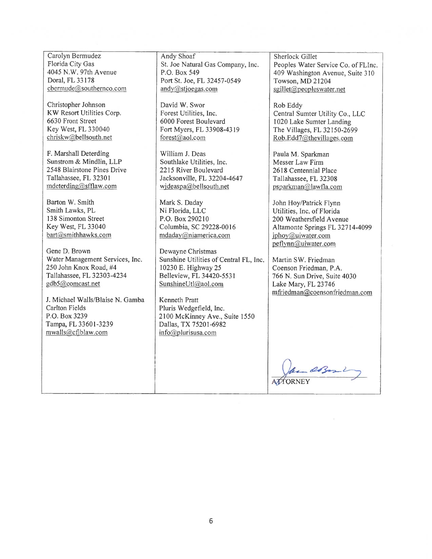F. Marshall Deterding William J. Deas Paula M. Sparkman Sunstrom & Mindlin, LLP Southlake Utilities. Inc.

Gene D. Brown Dewayne Christmas

J. Michael Walls/Blaise N. Gamba | Kenneth Pratt Carlton Fields Pluris Wedgefield, Inc. P.O. Box 3239 2100 McKinney Ave., Suite 1550<br>
Tampa, FL 33601-3239 Dallas, TX 75201-6982 mwalls@cfiblaw.com info@plurisusa.com

Carolyn Bermudez<br>
Florida City Gas<br>
Sherlock Gillet<br>
Sherlock Gillet<br>
Sherlock Gillet<br>
Sherlock Gillet<br>
Sherlock Gillet<br>
St. Joe Natural Gas Company, Inc.<br>
Peoples Water Doral, FL 33178 Port St. Joe, FL 32457-0549 Towson, MD 21204<br>cbermude@southernco.com andy@stioegas.com sgillet@peopleswate  $\text{and}$ y@stjoegas.com sgillet@peopleswater.net

Christopher Johnson David W. Swor Rob Eddy<br>
KW Resort Utilities Corp. Forest Utilities, Inc. Central Su 6630 Front Street ... 6000 Forest Boulevard ... 1020 Lake Sumter Landing<br>
Key West, FL 330040 Fort Myers, FL 33908-4319 The Villages. FL 32150-269

Sunstrom & Mindlin, LLP Southlake Utilities, Inc. Messer Law Firm 2548 Blairstone Pines Drive 2215 River Boulevard 2618 Centennial Place Tallahassee, FL 32301 Jacksonville, FL 32204-4647 Tallahassee, FL 32308<br>mdeterding@sfflaw.com videaspa@bellsouth.net psparkman@lawfla.com

Barton W. Smith Mark S. Daday John Hoy/Patrick Flynn<br>
Smith Lawks, PL Ni Florida, LLC Utilities, Inc. of Florida

Water Management Services, Inc. Sunshine Utilities of Central FL, Inc. Martin SW. Friedman 250 John Knox Road, #4 10230 E. Highway 25 Coenson Friedman, P.A.<br>Tallahassee, FL 32303-4234 Belleview, FL 34420-5531 766 N. Sun Drive, Suite gdb5@comcast.net SunshineUtl@aol.com Lake Mary, FL 23746

Dallas, TX 75201-6982

Florida City Gas<br>
4045 N.W. 97th Avenue P.O. Box 549<br>
P.O. Box 549<br>
P.O. Box 549<br>
P.O. Box 549 4045 N.W. 97th Avenue  $\begin{array}{|l|l|l|}\n\end{array}$  P.O. Box 549  $\begin{array}{|l|l|l|}\n\end{array}$  409 Washington Avenue, Suite 310 Doral, FL 33178  $\begin{array}{|l|l|}\n\end{array}$  Port St. Joe. FL 32457-0549  $\begin{array}{|l|l|}\n\end{array}$  Towson. MD 21204

KW Resort Utilities Corp.<br>  $\begin{array}{c|c|c|c|c|c} \hline \text{Fourier} & \text{Fourier} & \text{Fourier} & \text{Fourier} \\ \hline \text{1020 Lake Sumter Landing} & \text{Fourier} & \text{Fourier} & \text{Fourier} \end{array}$ Key West, FL 330040 Fort Myers, FL 33908-4319 The Villages, FL 32150-2699<br>
chriskw@bellsouth.net forest@aol.com Rob.Edd7@thevillages.com Rob.Edd7@thevillages.com

 $psparkman@$ lawfla.com

Utilities, Inc. of Florida 138 Simonton Street P.O. Box 290210 200 Weathersfield Avenue Key West, FL 33040 Columbia, SC 29228-0016 Altamonte Springs FL 32714-4099 bart@smithhawks.com mdaday@niamerica.com iphov@uiwater.com jphoy@uiwater.com peflynn@uiwater.com

> 766 N. Sun Drive, Suite 4030 mfriedman@coensonfriedman.com

~?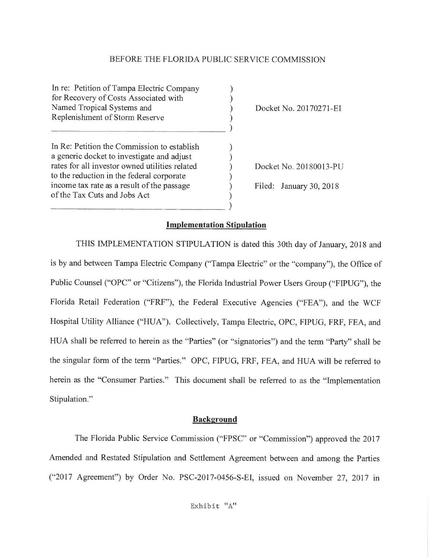#### BEFORE THE FLORIDA PUBLIC SERVICE COMMISSION

In re: Petition ofTampa Electric Company for Recovery of Costs Associated with Named Tropical Systems and Replenishment of Storm Reserve ) ) ) )  $\Box$ In Re: Petition the Commission to establish a generic docket to investigate and adjust rates for all investor owned utilities related to the reduction in the federal corporate income tax rate as a result of the passage of the Tax Cuts and Jobs Act ) ) ) ) ) )  $\overline{\phantom{a}}$ 

Docket No. 20170271-EI

Docket No. 20180013-PU

Filed: January 30, 2018

#### **Implementation Stipulation**

THIS IMPLEMENTATION STIPULATION is dated this 30th day of January, 2018 and is by and between Tampa Electric Company ("Tampa Electric" or the "company"), the Office of Public Counsel ("OPC" or "Citizens"), the Florida Industrial Power Users Group ("FIPUG"), the Florida Retail Federation ("FRF"), the Federal Executive Agencies ("FEA"), and the WCF Hospital Utility Alliance ("HUA''). Collectively, Tampa Electric, OPC, FIPUG, FRF, FEA, and HUA shall be referred to herein as the "Parties" (or "signatories") and the term "Party" shall be the singular form of the term "Parties." OPC, FIPUG, FRF, FEA, and HUA will be referred to herein as the "Consumer Parties." This document shall be referred to as the "Implementation Stipulation."

#### **Background**

The Florida Public Service Commission ("FPSC" or "Commission") approved the 2017 Amended and Restated Stipulation and Settlement Agreement between and among the Parties ("2017 Agreement") by Order No. PSC-2017-0456-S-EI, issued on November 27, 2017 in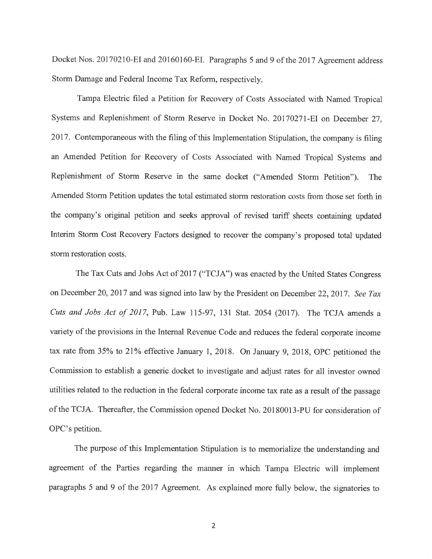Docket Nos. 20170210-EI and 20160160-EI. Paragraphs 5 and 9 of the 2017 Agreement address Storm Damage and Federal Income Tax Reform, respectively.

Tampa Electric filed a Petition for Recovery of Costs Associated with Named Tropical Systems and Replenishment of Storm Reserve in Docket No. 20170271-EI on December 27, 2017. Contemporaneous with the filing of this Implementation Stipulation, the company is filing an Amended Petition for Recovery of Costs Associated with Named Tropical Systems and Replenishment of Storm Reserve in the same docket ("Amended Storm Petition"). The Amended Storm Petition updates the total estimated storm restoration costs from those set forth in the company's original petition and seeks approval of revised tariff sheets containing updated Interim Storm Cost Recovery Factors designed to recover the company's proposed total updated storm restoration costs.

The Tax Cuts and Jobs Act of 2017 ("TCJA") was enacted by the United States Congress on December 20, 2017 and was signed into law by the President on December 22, 2017. *See Tax Cuts and Jobs Act of 2017,* Pub. Law 115-97, 131 Stat. 2054 (2017). The TCJA amends a variety of the provisions in the Internal Revenue Code and reduces the federal corporate income tax rate from 35% to 21% effective January 1, 2018. On January 9, 2018, OPC petitioned the Commission to establish a generic docket to investigate and adjust rates for all investor owned utilities related to the reduction in the federal corporate income tax rate as a result of the passage of the TCJA. Thereafter, the Commission opened Docket No. 20180013-PU for consideration of OPC's petition.

The purpose of this Implementation Stipulation is to memorialize the understanding and agreement of the Parties regarding the manner in which Tampa Electric will implement paragraphs 5 and 9 of the 2017 Agreement. As explained more fully below, the signatories to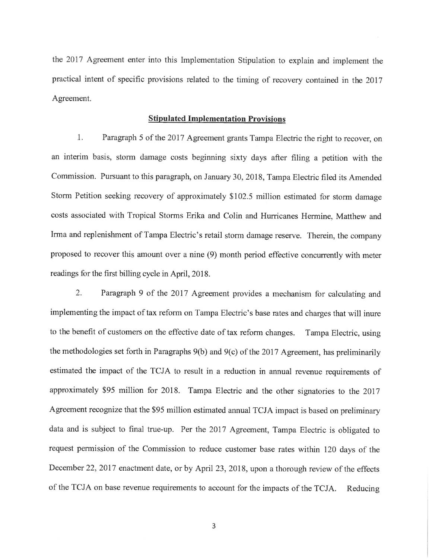the 2017 Agreement enter into this Implementation Stipulation to explain and implement the practical intent of specific provisions related to the timing of recovery contained in the 2017 Agreement.

#### **Stipulated Implementation Provisions**

1. Paragraph 5 of the 2017 Agreement grants Tampa Electric the right to recover, on an interim basis, storm damage costs beginning sixty days after filing a petition with the Commission. Pursuant to this paragraph, on January 30, 2018, Tampa Electric filed its Amended Storm Petition seeking recovery of approximately \$102.5 million estimated for storm damage costs associated with Tropical Storms Erika and Colin and Hurricanes Hermine, Matthew and Irma and replenishment of Tampa Electric's retail storm damage reserve. Therein, the company proposed to recover this amount over a nine (9) month period effective concurrently with meter readings for the first billing cycle in April, 2018.

2. Paragraph 9 of the 2017 Agreement provides a mechanism for calculating and implementing the impact of tax reform on Tampa Electric's base rates and charges that will inure to the benefit of customers on the effective date of tax reform changes. Tampa Electric, using the methodologies set forth in Paragraphs  $9(b)$  and  $9(c)$  of the 2017 Agreement, has preliminarily estimated the impact of the TCJA to result in a reduction in annual revenue requirements of approximately \$95 million for 2018. Tampa Electric and the other signatories to the 2017 Agreement recognize that the \$95 million estimated annual TCJA impact is based on preliminary data and is subject to final true-up. Per the 2017 Agreement, Tampa Electric is obligated to request permission of the Commission to reduce customer base rates within 120 days of the December 22, 2017 enactment date, or by April 23, 2018, upon a thorough review of the effects of the TCJA on base revenue requirements to account for the impacts of the TCJA. Reducing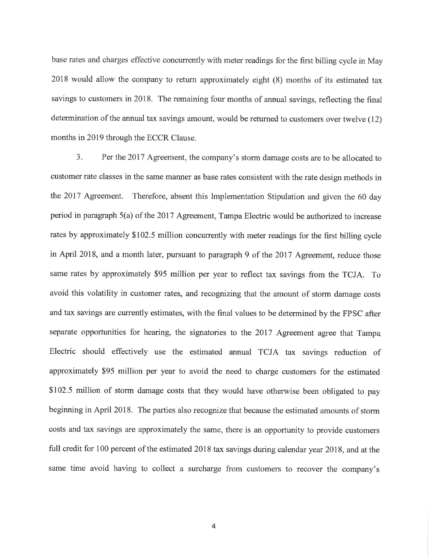base rates and charges effective concurrently with meter readings for the first billing cycle in May 2018 would allow the company to return approximately eight (8) months of its estimated tax savings to customers in 2018. The remaining four months of annual savings, reflecting the final determination of the annual tax savings amount, would be returned to customers over twelve (12) months in 2019 through the ECCR Clause.

3. Per the 2017 Agreement, the company's storm damage costs are to be allocated to customer rate classes in the same manner as base rates consistent with the rate design methods in the 2017 Agreement. Therefore, absent this Implementation Stipulation and given the 60 day period in paragraph 5(a) of the 2017 Agreement, Tampa Electric would be authorized to increase rates by approximately \$102.5 million concurrently with meter readings for the first billing cycle in April 2018, and a month later, pursuant to paragraph 9 of the 2017 Agreement, reduce those same rates by approximately \$95 million per year to reflect tax savings from the TCJA. To avoid this volatility in customer rates, and recognizing that the amount of storm damage costs and tax savings are currently estimates, with the final values to be determined by the FPSC after separate opportunities for hearing, the signatories to the 2017 Agreement agree that Tampa Electric should effectively use the estimated annual TCJA tax savings reduction of approximately \$95 million per year to avoid the need to charge customers for the estimated \$102.5 million of storm damage costs that they would have otherwise been obligated to pay beginning in April 2018. The parties also recognize that because the estimated amounts of storm costs and tax savings are approximately the same, there is an opportunity to provide customers full credit for 100 percent of the estimated 2018 tax savings during calendar year 2018, and at the same time avoid having to collect a surcharge from customers to recover the company's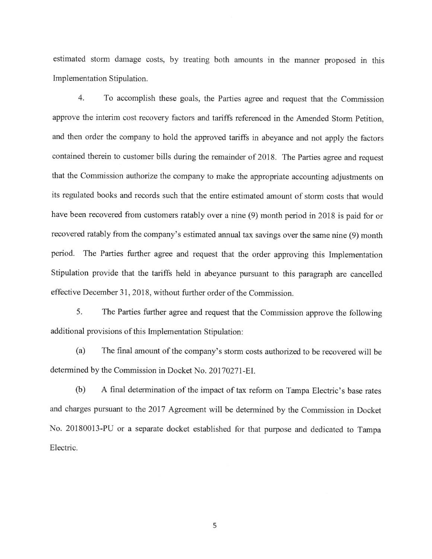estimated storm damage costs, by treating both amounts in the manner proposed in this Implementation Stipulation.

4. To accomplish these goals, the Parties agree and request that the Commission approve the interim cost recovery factors and tariffs referenced in the Amended Storm Petition, and then order the company to hold the approved tariffs in abeyance and not apply the factors contained therein to customer bills during the remainder of 2018. The Parties agree and request that the Commission authorize the company to make the appropriate accounting adjustments on its regulated books and records such that the entire estimated amount of storm costs that would have been recovered from customers ratably over a nine (9) month period in 2018 is paid for or recovered ratably from the company's estimated annual tax savings over the same nine (9) month period. The Parties further agree and request that the order approving this Implementation Stipulation provide that the tariffs held in abeyance pursuant to this paragraph are cancelled effective December 31, 2018, without further order of the Commission.

5. The Parties further agree and request that the Commission approve the following additional provisions of this Implementation Stipulation:

(a) The final amount of the company's storm costs authorized to be recovered will be determined by the Commission in Docket No. 20170271-EI.

(b) A final determination of the impact of tax refonn on Tampa Electric's base rates and charges pursuant to the 2017 Agreement will be determined by the Commission in Docket No. 20180013-PU or a separate docket established for that purpose and dedicated to Tampa Electric.

5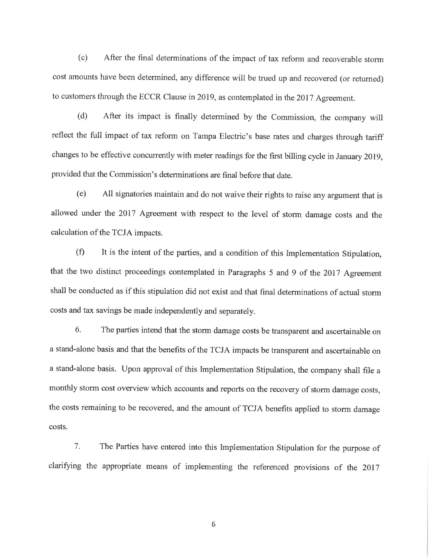(c) After the final determinations of the impact of tax reform and recoverable storm cost amounts have been determined, any difference will be trued up and recovered (or returned) to customers through the ECCR Clause in 2019, as contemplated in the 2017 Agreement.

(d) After its impact is finally detennined by the Commission, the company will reflect the full impact of tax reform on Tampa Electric's base rates and charges through tariff changes to be effective concurrently with meter readings for the first billing cycle in January 2019, provided that the Commission's determinations are final before that date.

(e) All signatories maintain and do not waive their rights to raise any argument that is allowed under the 2017 Agreement with respect to the level of storm damage costs and the calculation of the TCJA impacts.

(f) It is the intent of the parties, and a condition of this Implementation Stipulation, that the two distinct proceedings contemplated in Paragraphs 5 and 9 of the 2017 Agreement shall be conducted as if this stipulation did not exist and that final determinations of actual storm costs and tax savings be made independently and separately.

6. The parties intend that the storm damage costs be transparent and ascertainable on a stand-alone basis and that the benefits of the TCJA impacts be transparent and ascertainable on a stand-alone basis. Upon approval of this Implementation Stipulation, the company shall file a monthly storm cost overview which accounts and reports on the recovery of storm damage costs, the costs remaining to be recovered, and the amount of TCJA benefits applied to storm damage costs.

7. The Parties have entered into this Implementation Stipulation for the purpose of clarifying the appropriate means of implementing the referenced provisions of the 2017

6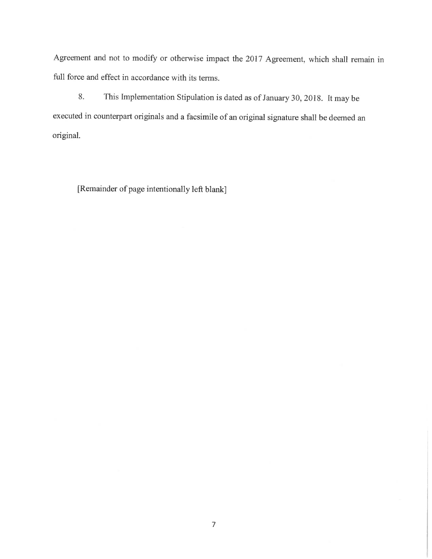Agreement and not to modify or otherwise impact the 2017 Agreement, which shall remain in full force and effect in accordance with its terms.

8. This Implementation Stipulation is dated as of January 30, 2018. It may be executed in counterpart originals and a facsimile of an original signature shall be deemed an original.

[Remainder of page intentionally left blank]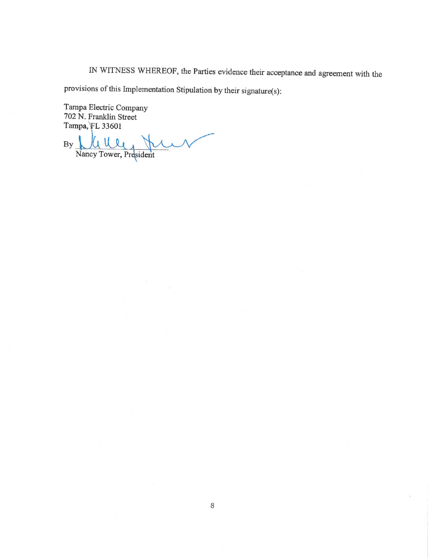IN WITNESS WHEREOF, the Parties evidence their acceptance and agreement with the

provisions of this Implementation Stipulation by their signature(s):

Tampa Electric Company 702 N. Franklin Street Tampa, FL 33601

By Mullet Nancy Tower, President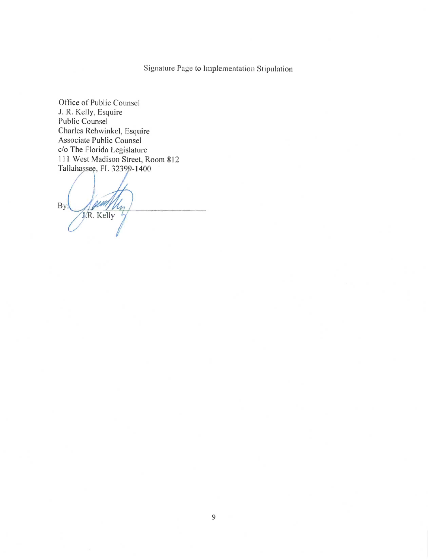Office of Public Counsel J. R. Kelly, Esquire Public Counsel Charles Rehwinkel, Esquire Associate Public Counsel c/o The Florida Legislature 111 West Madison Street, Room 812 Tallahassee, FL 32399-1400

J. Pum By: M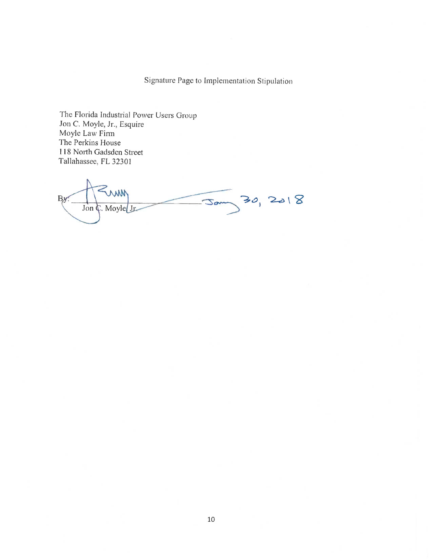The Florida Industrial Power Users Group Jon *C.* Moyle, Jr., Esquire Moyle Law Finn The Perkins House 118 North Gadsden Street Tallahassee, FL 32301

MM  $30,2018$ By Jam Jon C. Moyle Jr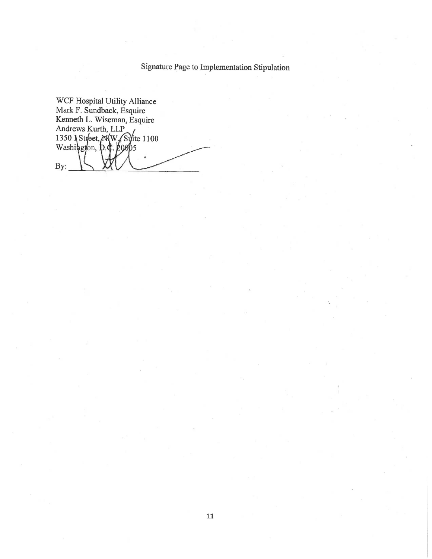WCF Hospital Utility Alliance Mark F. Sundback, Esquire Kenneth L. Wiseman, Esquire Andrews Kurth, LLP 1350 Street, *NW* Surite 1100 5 By: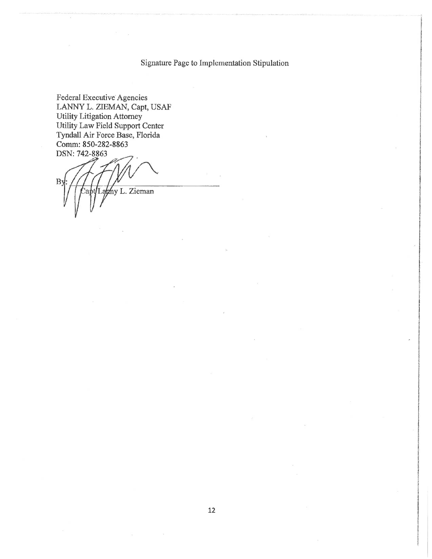Federal Executive Agencies LANNY L. ZIEMAN, Capt, USAF Utility Litigation Attorney Utility Law Field Support Center Tyndall Air Force Base, Florida Comm: 850-282-8863 DSN: 742-8863

B<sub>3</sub> my L. Zieman

i